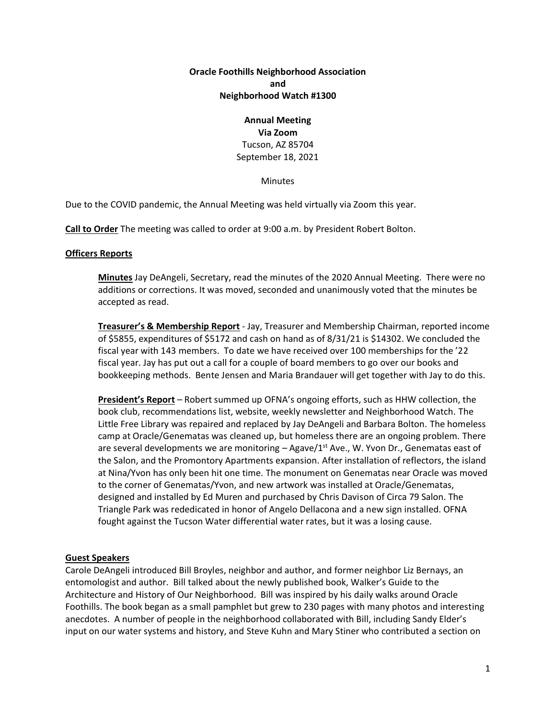# **Oracle Foothills Neighborhood Association and Neighborhood Watch #1300**

# **Annual Meeting**

#### **Via Zoom** Tucson, AZ 85704 September 18, 2021

# Minutes

Due to the COVID pandemic, the Annual Meeting was held virtually via Zoom this year.

**Call to Order** The meeting was called to order at 9:00 a.m. by President Robert Bolton.

#### **Officers Reports**

**Minutes** Jay DeAngeli, Secretary, read the minutes of the 2020 Annual Meeting. There were no additions or corrections. It was moved, seconded and unanimously voted that the minutes be accepted as read.

**Treasurer's & Membership Report** - Jay, Treasurer and Membership Chairman, reported income of \$5855, expenditures of \$5172 and cash on hand as of 8/31/21 is \$14302. We concluded the fiscal year with 143 members. To date we have received over 100 memberships for the '22 fiscal year. Jay has put out a call for a couple of board members to go over our books and bookkeeping methods. Bente Jensen and Maria Brandauer will get together with Jay to do this.

**President's Report** – Robert summed up OFNA's ongoing efforts, such as HHW collection, the book club, recommendations list, website, weekly newsletter and Neighborhood Watch. The Little Free Library was repaired and replaced by Jay DeAngeli and Barbara Bolton. The homeless camp at Oracle/Genematas was cleaned up, but homeless there are an ongoing problem. There are several developments we are monitoring  $-$  Agave/1<sup>st</sup> Ave., W. Yvon Dr., Genematas east of the Salon, and the Promontory Apartments expansion. After installation of reflectors, the island at Nina/Yvon has only been hit one time. The monument on Genematas near Oracle was moved to the corner of Genematas/Yvon, and new artwork was installed at Oracle/Genematas, designed and installed by Ed Muren and purchased by Chris Davison of Circa 79 Salon. The Triangle Park was rededicated in honor of Angelo Dellacona and a new sign installed. OFNA fought against the Tucson Water differential water rates, but it was a losing cause.

# **Guest Speakers**

Carole DeAngeli introduced Bill Broyles, neighbor and author, and former neighbor Liz Bernays, an entomologist and author. Bill talked about the newly published book, Walker's Guide to the Architecture and History of Our Neighborhood. Bill was inspired by his daily walks around Oracle Foothills. The book began as a small pamphlet but grew to 230 pages with many photos and interesting anecdotes. A number of people in the neighborhood collaborated with Bill, including Sandy Elder's input on our water systems and history, and Steve Kuhn and Mary Stiner who contributed a section on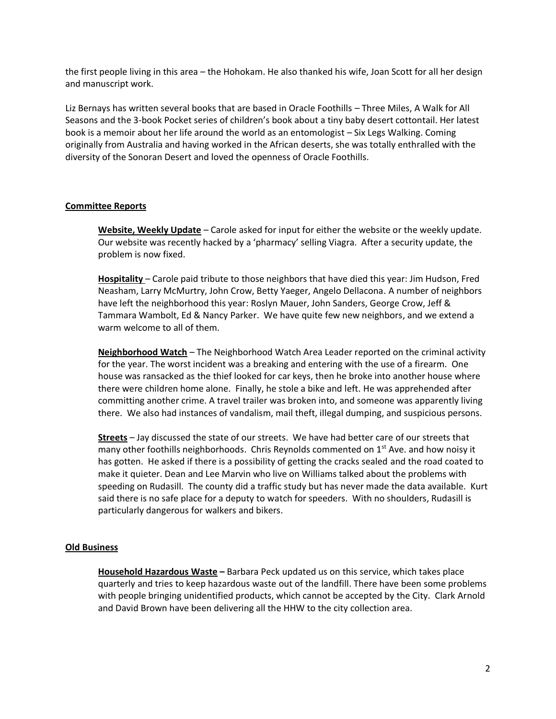the first people living in this area – the Hohokam. He also thanked his wife, Joan Scott for all her design and manuscript work.

Liz Bernays has written several books that are based in Oracle Foothills – Three Miles, A Walk for All Seasons and the 3-book Pocket series of children's book about a tiny baby desert cottontail. Her latest book is a memoir about her life around the world as an entomologist – Six Legs Walking. Coming originally from Australia and having worked in the African deserts, she was totally enthralled with the diversity of the Sonoran Desert and loved the openness of Oracle Foothills.

# **Committee Reports**

**Website, Weekly Update** – Carole asked for input for either the website or the weekly update. Our website was recently hacked by a 'pharmacy' selling Viagra. After a security update, the problem is now fixed.

**Hospitality** – Carole paid tribute to those neighbors that have died this year: Jim Hudson, Fred Neasham, Larry McMurtry, John Crow, Betty Yaeger, Angelo Dellacona. A number of neighbors have left the neighborhood this year: Roslyn Mauer, John Sanders, George Crow, Jeff & Tammara Wambolt, Ed & Nancy Parker. We have quite few new neighbors, and we extend a warm welcome to all of them.

**Neighborhood Watch** – The Neighborhood Watch Area Leader reported on the criminal activity for the year. The worst incident was a breaking and entering with the use of a firearm. One house was ransacked as the thief looked for car keys, then he broke into another house where there were children home alone. Finally, he stole a bike and left. He was apprehended after committing another crime. A travel trailer was broken into, and someone was apparently living there. We also had instances of vandalism, mail theft, illegal dumping, and suspicious persons.

**Streets** – Jay discussed the state of our streets. We have had better care of our streets that many other foothills neighborhoods. Chris Reynolds commented on  $1<sup>st</sup>$  Ave. and how noisy it has gotten. He asked if there is a possibility of getting the cracks sealed and the road coated to make it quieter. Dean and Lee Marvin who live on Williams talked about the problems with speeding on Rudasill. The county did a traffic study but has never made the data available. Kurt said there is no safe place for a deputy to watch for speeders. With no shoulders, Rudasill is particularly dangerous for walkers and bikers.

# **Old Business**

**Household Hazardous Waste –** Barbara Peck updated us on this service, which takes place quarterly and tries to keep hazardous waste out of the landfill. There have been some problems with people bringing unidentified products, which cannot be accepted by the City. Clark Arnold and David Brown have been delivering all the HHW to the city collection area.